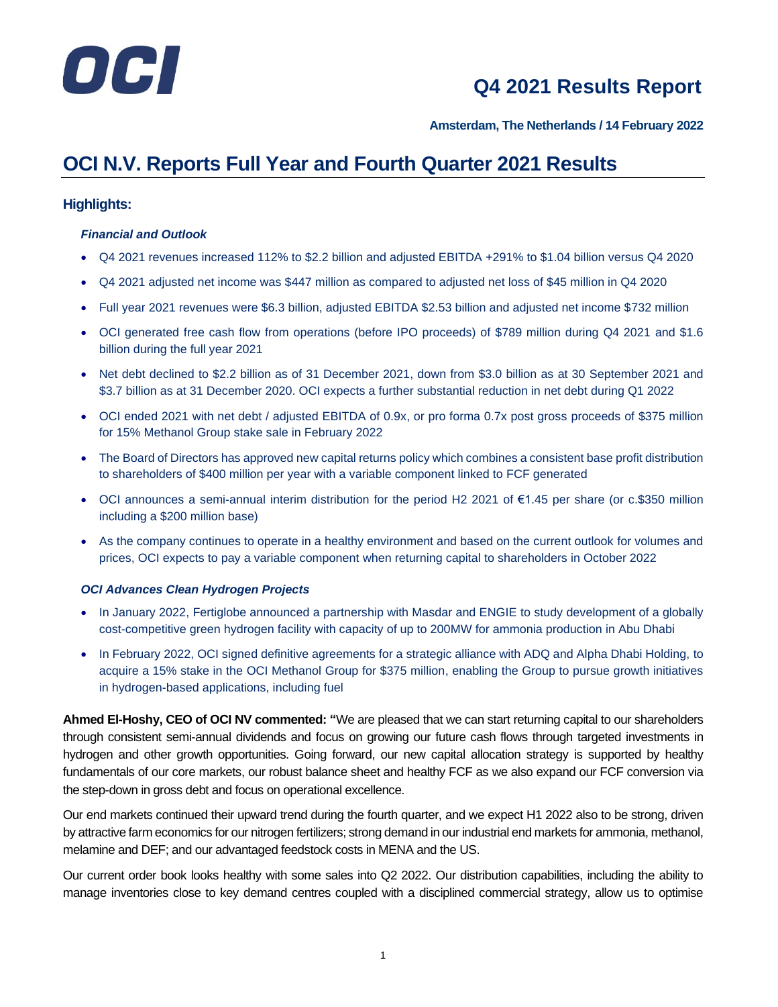

**Amsterdam, The Netherlands / 14 February 2022**

# **OCI N.V. Reports Full Year and Fourth Quarter 2021 Results**

#### **Highlights:**

#### *Financial and Outlook*

- Q4 2021 revenues increased 112% to \$2.2 billion and adjusted EBITDA +291% to \$1.04 billion versus Q4 2020
- Q4 2021 adjusted net income was \$447 million as compared to adjusted net loss of \$45 million in Q4 2020
- Full year 2021 revenues were \$6.3 billion, adjusted EBITDA \$2.53 billion and adjusted net income \$732 million
- OCI generated free cash flow from operations (before IPO proceeds) of \$789 million during Q4 2021 and \$1.6 billion during the full year 2021
- Net debt declined to \$2.2 billion as of 31 December 2021, down from \$3.0 billion as at 30 September 2021 and \$3.7 billion as at 31 December 2020. OCI expects a further substantial reduction in net debt during Q1 2022
- OCI ended 2021 with net debt / adjusted EBITDA of 0.9x, or pro forma 0.7x post gross proceeds of \$375 million for 15% Methanol Group stake sale in February 2022
- The Board of Directors has approved new capital returns policy which combines a consistent base profit distribution to shareholders of \$400 million per year with a variable component linked to FCF generated
- OCI announces a semi-annual interim distribution for the period H2 2021 of €1.45 per share (or c.\$350 million including a \$200 million base)
- As the company continues to operate in a healthy environment and based on the current outlook for volumes and prices, OCI expects to pay a variable component when returning capital to shareholders in October 2022

#### *OCI Advances Clean Hydrogen Projects*

- In January 2022, Fertiglobe announced a partnership with Masdar and ENGIE to study development of a globally cost-competitive green hydrogen facility with capacity of up to 200MW for ammonia production in Abu Dhabi
- In February 2022, OCI signed definitive agreements for a strategic alliance with ADQ and Alpha Dhabi Holding, to acquire a 15% stake in the OCI Methanol Group for \$375 million, enabling the Group to pursue growth initiatives in hydrogen-based applications, including fuel

**Ahmed El-Hoshy, CEO of OCI NV commented: "**We are pleased that we can start returning capital to our shareholders through consistent semi-annual dividends and focus on growing our future cash flows through targeted investments in hydrogen and other growth opportunities. Going forward, our new capital allocation strategy is supported by healthy fundamentals of our core markets, our robust balance sheet and healthy FCF as we also expand our FCF conversion via the step-down in gross debt and focus on operational excellence.

Our end markets continued their upward trend during the fourth quarter, and we expect H1 2022 also to be strong, driven by attractive farm economics for our nitrogen fertilizers; strong demand in our industrial end markets for ammonia, methanol, melamine and DEF; and our advantaged feedstock costs in MENA and the US.

Our current order book looks healthy with some sales into Q2 2022. Our distribution capabilities, including the ability to manage inventories close to key demand centres coupled with a disciplined commercial strategy, allow us to optimise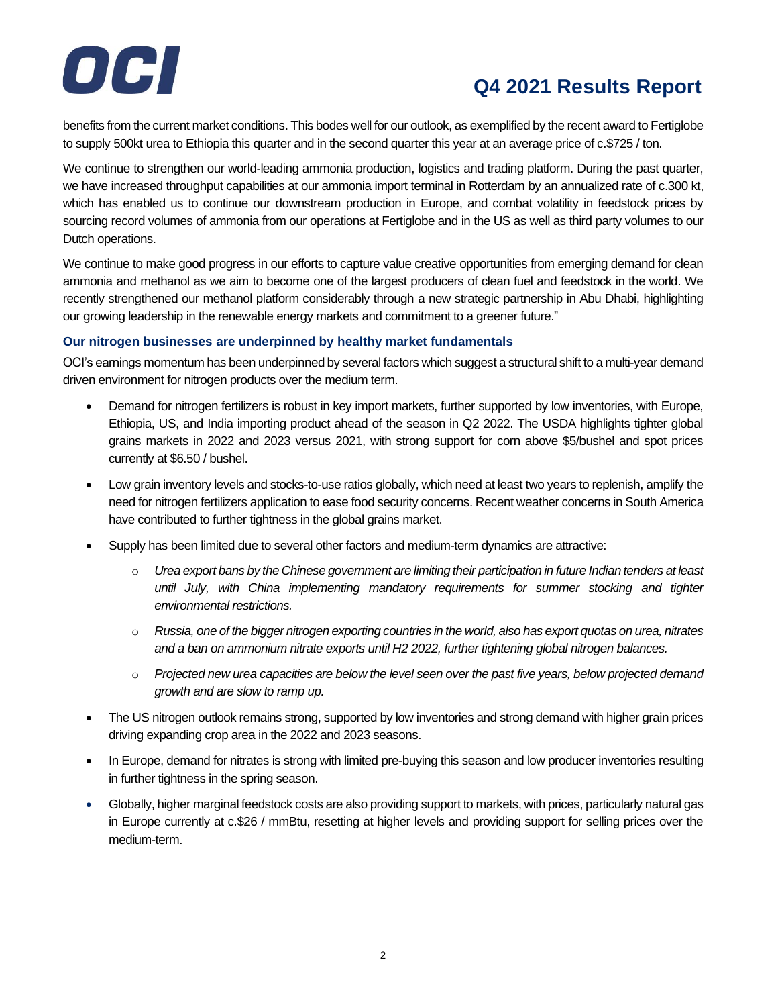

benefits from the current market conditions. This bodes well for our outlook, as exemplified by the recent award to Fertiglobe to supply 500kt urea to Ethiopia this quarter and in the second quarter this year at an average price of c.\$725 / ton.

We continue to strengthen our world-leading ammonia production, logistics and trading platform. During the past quarter, we have increased throughput capabilities at our ammonia import terminal in Rotterdam by an annualized rate of c.300 kt, which has enabled us to continue our downstream production in Europe, and combat volatility in feedstock prices by sourcing record volumes of ammonia from our operations at Fertiglobe and in the US as well as third party volumes to our Dutch operations.

We continue to make good progress in our efforts to capture value creative opportunities from emerging demand for clean ammonia and methanol as we aim to become one of the largest producers of clean fuel and feedstock in the world. We recently strengthened our methanol platform considerably through a new strategic partnership in Abu Dhabi, highlighting our growing leadership in the renewable energy markets and commitment to a greener future."

#### **Our nitrogen businesses are underpinned by healthy market fundamentals**

OCI's earnings momentum has been underpinned by several factors which suggest a structural shift to a multi-year demand driven environment for nitrogen products over the medium term.

- Demand for nitrogen fertilizers is robust in key import markets, further supported by low inventories, with Europe, Ethiopia, US, and India importing product ahead of the season in Q2 2022. The USDA highlights tighter global grains markets in 2022 and 2023 versus 2021, with strong support for corn above \$5/bushel and spot prices currently at \$6.50 / bushel.
- Low grain inventory levels and stocks-to-use ratios globally, which need at least two years to replenish, amplify the need for nitrogen fertilizers application to ease food security concerns. Recent weather concerns in South America have contributed to further tightness in the global grains market.
- Supply has been limited due to several other factors and medium-term dynamics are attractive:
	- o *Urea export bans by the Chinese government are limiting their participation in future Indian tenders at least until July, with China implementing mandatory requirements for summer stocking and tighter environmental restrictions.*
	- o *Russia, one of the bigger nitrogen exporting countries in the world, also has export quotas on urea, nitrates and a ban on ammonium nitrate exports until H2 2022, further tightening global nitrogen balances.*
	- o *Projected new urea capacities are below the level seen over the past five years, below projected demand growth and are slow to ramp up.*
- The US nitrogen outlook remains strong, supported by low inventories and strong demand with higher grain prices driving expanding crop area in the 2022 and 2023 seasons.
- In Europe, demand for nitrates is strong with limited pre-buying this season and low producer inventories resulting in further tightness in the spring season.
- Globally, higher marginal feedstock costs are also providing support to markets, with prices, particularly natural gas in Europe currently at c.\$26 / mmBtu, resetting at higher levels and providing support for selling prices over the medium-term.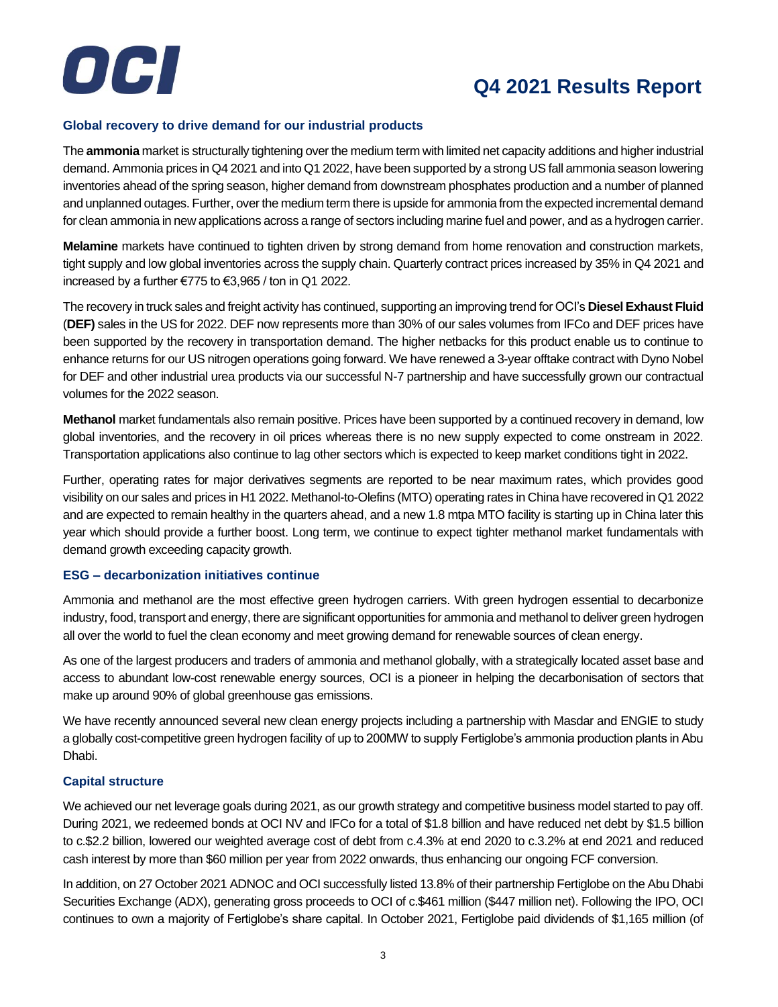

#### **Global recovery to drive demand for our industrial products**

The **ammonia** market is structurally tightening over the medium term with limited net capacity additions and higher industrial demand. Ammonia prices in Q4 2021 and into Q1 2022, have been supported by a strong US fall ammonia season lowering inventories ahead of the spring season, higher demand from downstream phosphates production and a number of planned and unplanned outages. Further, over the medium term there is upside for ammonia from the expected incremental demand for clean ammonia in new applications across a range of sectors including marine fuel and power, and as a hydrogen carrier.

**Melamine** markets have continued to tighten driven by strong demand from home renovation and construction markets, tight supply and low global inventories across the supply chain. Quarterly contract prices increased by 35% in Q4 2021 and increased by a further €775 to €3,965 / ton in Q1 2022.

The recovery in truck sales and freight activity has continued, supporting an improving trend for OCI's **Diesel Exhaust Fluid** (**DEF)** sales in the US for 2022. DEF now represents more than 30% of our sales volumes from IFCo and DEF prices have been supported by the recovery in transportation demand. The higher netbacks for this product enable us to continue to enhance returns for our US nitrogen operations going forward. We have renewed a 3-year offtake contract with Dyno Nobel for DEF and other industrial urea products via our successful N-7 partnership and have successfully grown our contractual volumes for the 2022 season.

**Methanol** market fundamentals also remain positive. Prices have been supported by a continued recovery in demand, low global inventories, and the recovery in oil prices whereas there is no new supply expected to come onstream in 2022. Transportation applications also continue to lag other sectors which is expected to keep market conditions tight in 2022.

Further, operating rates for major derivatives segments are reported to be near maximum rates, which provides good visibility on our sales and prices in H1 2022. Methanol-to-Olefins (MTO) operating rates in China have recovered in Q1 2022 and are expected to remain healthy in the quarters ahead, and a new 1.8 mtpa MTO facility is starting up in China later this year which should provide a further boost. Long term, we continue to expect tighter methanol market fundamentals with demand growth exceeding capacity growth.

#### **ESG – decarbonization initiatives continue**

Ammonia and methanol are the most effective green hydrogen carriers. With green hydrogen essential to decarbonize industry, food, transport and energy, there are significant opportunities for ammonia and methanol to deliver green hydrogen all over the world to fuel the clean economy and meet growing demand for renewable sources of clean energy.

As one of the largest producers and traders of ammonia and methanol globally, with a strategically located asset base and access to abundant low-cost renewable energy sources, OCI is a pioneer in helping the decarbonisation of sectors that make up around 90% of global greenhouse gas emissions.

We have recently announced several new clean energy projects including a partnership with Masdar and ENGIE to study a globally cost-competitive green hydrogen facility of up to 200MW to supply Fertiglobe's ammonia production plants in Abu Dhabi.

#### **Capital structure**

We achieved our net leverage goals during 2021, as our growth strategy and competitive business model started to pay off. During 2021, we redeemed bonds at OCI NV and IFCo for a total of \$1.8 billion and have reduced net debt by \$1.5 billion to c.\$2.2 billion, lowered our weighted average cost of debt from c.4.3% at end 2020 to c.3.2% at end 2021 and reduced cash interest by more than \$60 million per year from 2022 onwards, thus enhancing our ongoing FCF conversion.

In addition, on 27 October 2021 ADNOC and OCI successfully listed 13.8% of their partnership Fertiglobe on the Abu Dhabi Securities Exchange (ADX), generating gross proceeds to OCI of c.\$461 million (\$447 million net). Following the IPO, OCI continues to own a majority of Fertiglobe's share capital. In October 2021, Fertiglobe paid dividends of \$1,165 million (of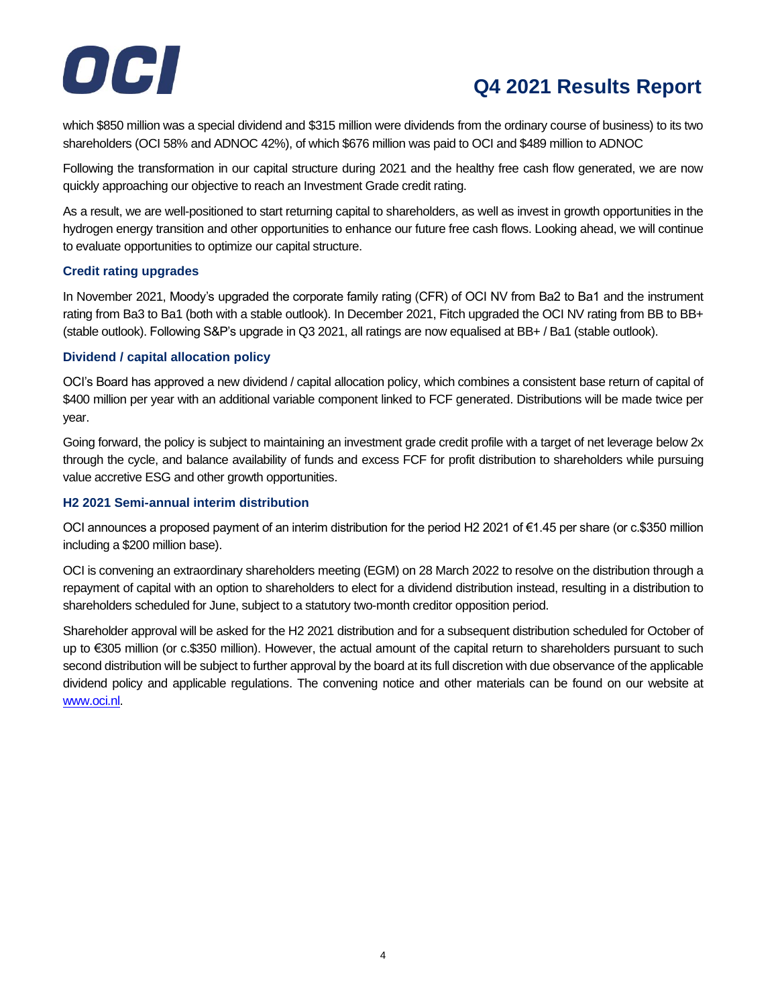

which \$850 million was a special dividend and \$315 million were dividends from the ordinary course of business) to its two shareholders (OCI 58% and ADNOC 42%), of which \$676 million was paid to OCI and \$489 million to ADNOC

Following the transformation in our capital structure during 2021 and the healthy free cash flow generated, we are now quickly approaching our objective to reach an Investment Grade credit rating.

As a result, we are well-positioned to start returning capital to shareholders, as well as invest in growth opportunities in the hydrogen energy transition and other opportunities to enhance our future free cash flows. Looking ahead, we will continue to evaluate opportunities to optimize our capital structure.

#### **Credit rating upgrades**

In November 2021, Moody's upgraded the corporate family rating (CFR) of OCI NV from Ba2 to Ba1 and the instrument rating from Ba3 to Ba1 (both with a stable outlook). In December 2021, Fitch upgraded the OCI NV rating from BB to BB+ (stable outlook). Following S&P's upgrade in Q3 2021, all ratings are now equalised at BB+ / Ba1 (stable outlook).

#### **Dividend / capital allocation policy**

OCI's Board has approved a new dividend / capital allocation policy, which combines a consistent base return of capital of \$400 million per year with an additional variable component linked to FCF generated. Distributions will be made twice per year.

Going forward, the policy is subject to maintaining an investment grade credit profile with a target of net leverage below 2x through the cycle, and balance availability of funds and excess FCF for profit distribution to shareholders while pursuing value accretive ESG and other growth opportunities.

#### **H2 2021 Semi-annual interim distribution**

OCI announces a proposed payment of an interim distribution for the period H2 2021 of €1.45 per share (or c.\$350 million including a \$200 million base).

OCI is convening an extraordinary shareholders meeting (EGM) on 28 March 2022 to resolve on the distribution through a repayment of capital with an option to shareholders to elect for a dividend distribution instead, resulting in a distribution to shareholders scheduled for June, subject to a statutory two-month creditor opposition period.

Shareholder approval will be asked for the H2 2021 distribution and for a subsequent distribution scheduled for October of up to €305 million (or c.\$350 million). However, the actual amount of the capital return to shareholders pursuant to such second distribution will be subject to further approval by the board at its full discretion with due observance of the applicable dividend policy and applicable regulations. The convening notice and other materials can be found on our website at [www.oci.nl.](http://www.oci.nl/)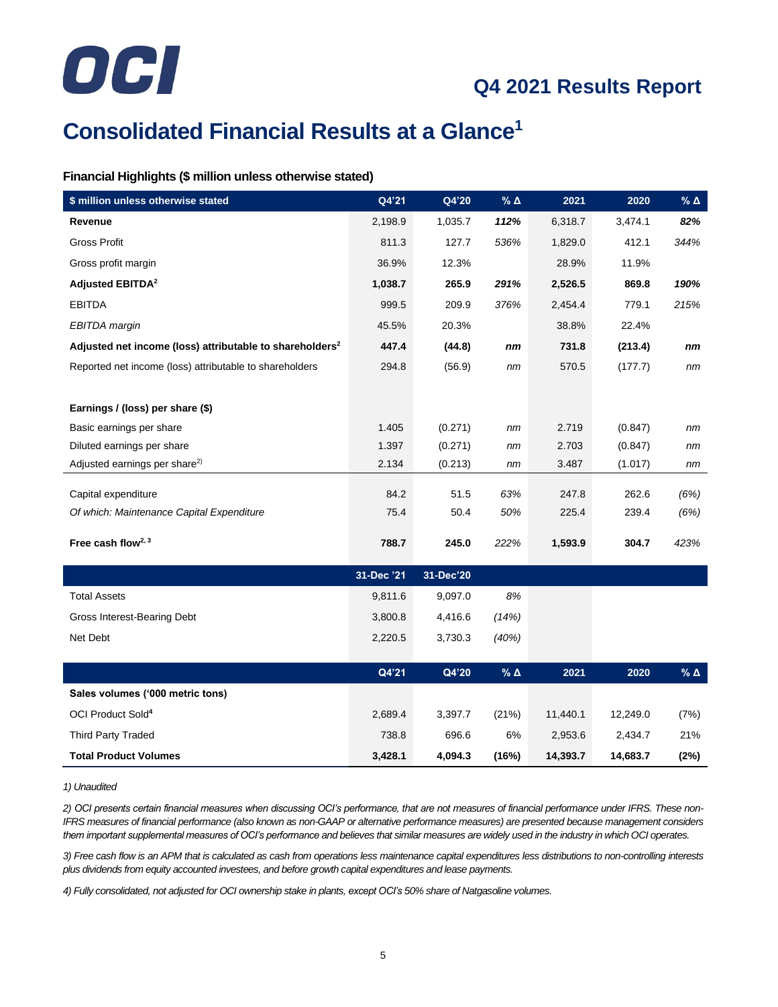

# **Consolidated Financial Results at a Glance<sup>1</sup>**

#### **Financial Highlights (\$ million unless otherwise stated)**

| \$ million unless otherwise stated                                   | Q4'21      | Q4'20     | % $\Delta$ | 2021     | 2020     | $\%$ $\Delta$   |
|----------------------------------------------------------------------|------------|-----------|------------|----------|----------|-----------------|
| Revenue                                                              | 2,198.9    | 1,035.7   | 112%       | 6,318.7  | 3,474.1  | 82%             |
| Gross Profit                                                         | 811.3      | 127.7     | 536%       | 1,829.0  | 412.1    | 344%            |
| Gross profit margin                                                  | 36.9%      | 12.3%     |            | 28.9%    | 11.9%    |                 |
| <b>Adjusted EBITDA<sup>2</sup></b>                                   | 1,038.7    | 265.9     | 291%       | 2,526.5  | 869.8    | 190%            |
| <b>EBITDA</b>                                                        | 999.5      | 209.9     | 376%       | 2,454.4  | 779.1    | 215%            |
| EBITDA margin                                                        | 45.5%      | 20.3%     |            | 38.8%    | 22.4%    |                 |
| Adjusted net income (loss) attributable to shareholders <sup>2</sup> | 447.4      | (44.8)    | nm         | 731.8    | (213.4)  | nm              |
| Reported net income (loss) attributable to shareholders              | 294.8      | (56.9)    | nm         | 570.5    | (177.7)  | nm              |
|                                                                      |            |           |            |          |          |                 |
| Earnings / (loss) per share (\$)                                     |            |           |            |          |          |                 |
| Basic earnings per share                                             | 1.405      | (0.271)   | nm         | 2.719    | (0.847)  | nm              |
| Diluted earnings per share                                           | 1.397      | (0.271)   | nm         | 2.703    | (0.847)  | nm              |
| Adjusted earnings per share <sup>2)</sup>                            | 2.134      | (0.213)   | nm         | 3.487    | (1.017)  | nm              |
| Capital expenditure                                                  | 84.2       | 51.5      | 63%        | 247.8    | 262.6    | (6%)            |
| Of which: Maintenance Capital Expenditure                            | 75.4       | 50.4      | 50%        | 225.4    | 239.4    | (6%)            |
|                                                                      |            |           |            |          |          |                 |
| Free cash flow <sup>2, 3</sup>                                       | 788.7      | 245.0     | 222%       | 1,593.9  | 304.7    | 423%            |
|                                                                      | 31-Dec '21 | 31-Dec'20 |            |          |          |                 |
| <b>Total Assets</b>                                                  | 9,811.6    | 9,097.0   | 8%         |          |          |                 |
| Gross Interest-Bearing Debt                                          | 3,800.8    | 4,416.6   | (14%)      |          |          |                 |
| Net Debt                                                             | 2,220.5    | 3,730.3   | (40%)      |          |          |                 |
|                                                                      |            |           |            |          |          |                 |
|                                                                      | Q4'21      | Q4'20     | % $\Delta$ | 2021     | 2020     | $%$ $\triangle$ |
| Sales volumes ('000 metric tons)                                     |            |           |            |          |          |                 |
| OCI Product Sold <sup>4</sup>                                        | 2,689.4    | 3,397.7   | (21%)      | 11,440.1 | 12,249.0 | (7%)            |
| <b>Third Party Traded</b>                                            | 738.8      | 696.6     | 6%         | 2,953.6  | 2,434.7  | 21%             |
| <b>Total Product Volumes</b>                                         | 3,428.1    | 4,094.3   | (16%)      | 14,393.7 | 14,683.7 | (2%)            |

#### *1) Unaudited*

*2) OCI presents certain financial measures when discussing OCI's performance, that are not measures of financial performance under IFRS. These non-IFRS measures of financial performance (also known as non-GAAP or alternative performance measures) are presented because management considers them important supplemental measures of OCI's performance and believes that similar measures are widely used in the industry in which OCI operates.*

*3) Free cash flow is an APM that is calculated as cash from operations less maintenance capital expenditures less distributions to non-controlling interests plus dividends from equity accounted investees, and before growth capital expenditures and lease payments.*

*4) Fully consolidated, not adjusted for OCI ownership stake in plants, except OCI's 50% share of Natgasoline volumes.*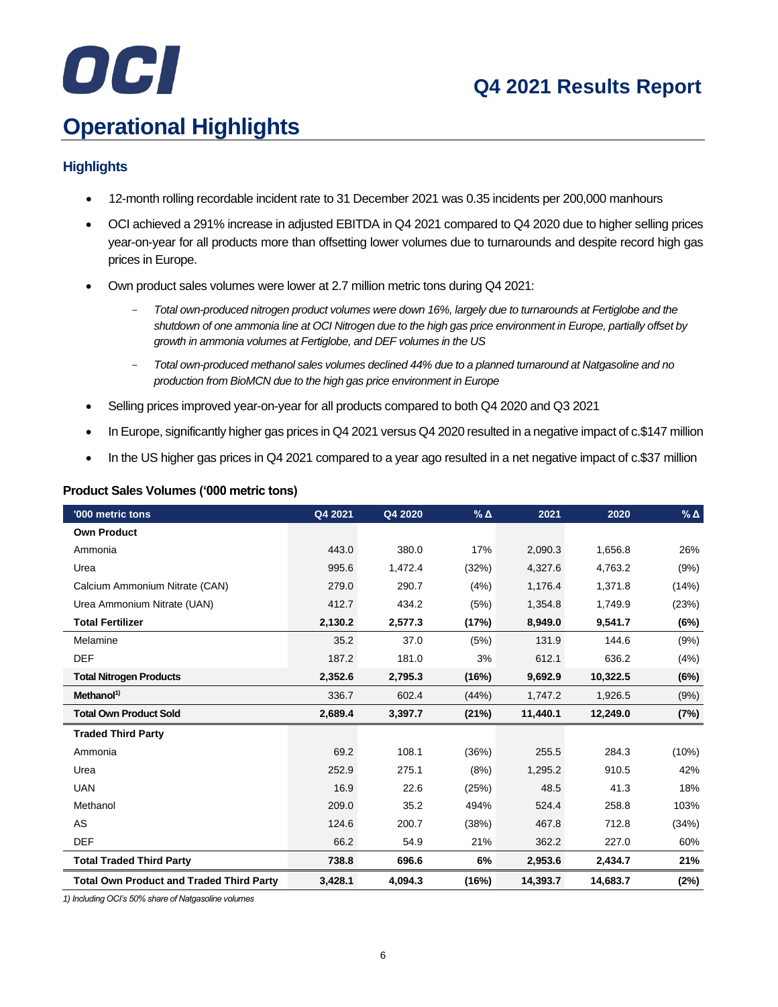# OCI

# **Q4 2021 Results Report**

# **Operational Highlights**

#### **Highlights**

- 12-month rolling recordable incident rate to 31 December 2021 was 0.35 incidents per 200,000 manhours
- OCI achieved a 291% increase in adjusted EBITDA in Q4 2021 compared to Q4 2020 due to higher selling prices year-on-year for all products more than offsetting lower volumes due to turnarounds and despite record high gas prices in Europe.
- Own product sales volumes were lower at 2.7 million metric tons during Q4 2021:
	- *Total own-produced nitrogen product volumes were down 16%, largely due to turnarounds at Fertiglobe and the shutdown of one ammonia line at OCI Nitrogen due to the high gas price environment in Europe, partially offset by growth in ammonia volumes at Fertiglobe, and DEF volumes in the US*
	- *Total own-produced methanol sales volumes declined 44% due to a planned turnaround at Natgasoline and no production from BioMCN due to the high gas price environment in Europe*
- Selling prices improved year-on-year for all products compared to both Q4 2020 and Q3 2021
- In Europe, significantly higher gas prices in Q4 2021 versus Q4 2020 resulted in a negative impact of c.\$147 million
- In the US higher gas prices in Q4 2021 compared to a year ago resulted in a net negative impact of c.\$37 million

| '000 metric tons                                | Q4 2021 | Q4 2020 | $%$ $\triangle$ | 2021     | 2020     | $%$ $\triangle$ |
|-------------------------------------------------|---------|---------|-----------------|----------|----------|-----------------|
| <b>Own Product</b>                              |         |         |                 |          |          |                 |
| Ammonia                                         | 443.0   | 380.0   | 17%             | 2,090.3  | 1,656.8  | 26%             |
| Urea                                            | 995.6   | 1,472.4 | (32%)           | 4,327.6  | 4,763.2  | (9%)            |
| Calcium Ammonium Nitrate (CAN)                  | 279.0   | 290.7   | (4%)            | 1,176.4  | 1,371.8  | (14%)           |
| Urea Ammonium Nitrate (UAN)                     | 412.7   | 434.2   | (5%)            | 1,354.8  | 1,749.9  | (23%)           |
| <b>Total Fertilizer</b>                         | 2,130.2 | 2,577.3 | (17%)           | 8,949.0  | 9,541.7  | (6%)            |
| Melamine                                        | 35.2    | 37.0    | (5%)            | 131.9    | 144.6    | (9%)            |
| <b>DEF</b>                                      | 187.2   | 181.0   | 3%              | 612.1    | 636.2    | (4%)            |
| <b>Total Nitrogen Products</b>                  | 2,352.6 | 2,795.3 | (16%)           | 9,692.9  | 10,322.5 | (6%)            |
| Method <sup>1</sup>                             | 336.7   | 602.4   | (44%)           | 1,747.2  | 1,926.5  | (9%)            |
| <b>Total Own Product Sold</b>                   | 2,689.4 | 3,397.7 | (21%)           | 11,440.1 | 12,249.0 | (7%)            |
| <b>Traded Third Party</b>                       |         |         |                 |          |          |                 |
| Ammonia                                         | 69.2    | 108.1   | (36%)           | 255.5    | 284.3    | (10%)           |
| Urea                                            | 252.9   | 275.1   | (8%)            | 1,295.2  | 910.5    | 42%             |
| <b>UAN</b>                                      | 16.9    | 22.6    | (25%)           | 48.5     | 41.3     | 18%             |
| Methanol                                        | 209.0   | 35.2    | 494%            | 524.4    | 258.8    | 103%            |
| AS                                              | 124.6   | 200.7   | (38%)           | 467.8    | 712.8    | (34%)           |
| <b>DEF</b>                                      | 66.2    | 54.9    | 21%             | 362.2    | 227.0    | 60%             |
| <b>Total Traded Third Party</b>                 | 738.8   | 696.6   | 6%              | 2,953.6  | 2,434.7  | 21%             |
| <b>Total Own Product and Traded Third Party</b> | 3,428.1 | 4,094.3 | (16%)           | 14,393.7 | 14,683.7 | (2%)            |

#### **Product Sales Volumes ('000 metric tons)**

*1) Including OCI's 50% share of Natgasoline volumes*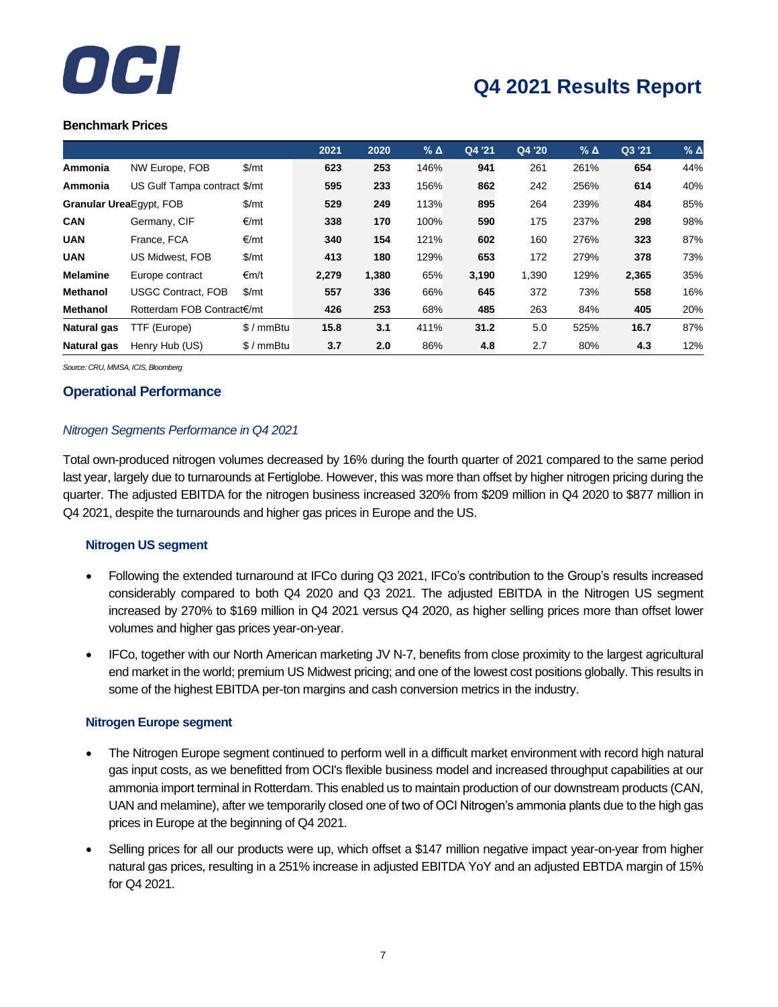

#### **Benchmark Prices**

|                         |                              |               | 2021  | 2020  | $%$ $\triangle$ | Q4 '21 | Q4 '20 | $%$ $\triangle$ | Q3 '21 | $%$ $\triangle$ |
|-------------------------|------------------------------|---------------|-------|-------|-----------------|--------|--------|-----------------|--------|-----------------|
| Ammonia                 | NW Europe, FOB               | $\frac{m}{2}$ | 623   | 253   | 146%            | 941    | 261    | 261%            | 654    | 44%             |
| Ammonia                 | US Gulf Tampa contract \$/mt |               | 595   | 233   | 156%            | 862    | 242    | 256%            | 614    | 40%             |
| Granular UreaEgypt, FOB |                              | $\frac{m}{2}$ | 529   | 249   | 113%            | 895    | 264    | 239%            | 484    | 85%             |
| <b>CAN</b>              | Germany, CIF                 | €/mt          | 338   | 170   | 100%            | 590    | 175    | 237%            | 298    | 98%             |
| <b>UAN</b>              | France, FCA                  | €/mt          | 340   | 154   | 121%            | 602    | 160    | 276%            | 323    | 87%             |
| <b>UAN</b>              | US Midwest, FOB              | \$/mt         | 413   | 180   | 129%            | 653    | 172    | 279%            | 378    | 73%             |
| <b>Melamine</b>         | Europe contract              | €m/t          | 2,279 | 1,380 | 65%             | 3,190  | 1,390  | 129%            | 2,365  | 35%             |
| <b>Methanol</b>         | <b>USGC Contract, FOB</b>    | $\frac{m}{2}$ | 557   | 336   | 66%             | 645    | 372    | 73%             | 558    | 16%             |
| <b>Methanol</b>         | Rotterdam FOB Contract€/mt   |               | 426   | 253   | 68%             | 485    | 263    | 84%             | 405    | 20%             |
| <b>Natural gas</b>      | TTF (Europe)                 | $$/mmB$ tu    | 15.8  | 3.1   | 411%            | 31.2   | 5.0    | 525%            | 16.7   | 87%             |
| Natural gas             | Henry Hub (US)               | $$/mmB$ tu    | 3.7   | 2.0   | 86%             | 4.8    | 2.7    | 80%             | 4.3    | 12%             |

*Source: CRU, MMSA, ICIS, Bloomberg*

#### **Operational Performance**

#### *Nitrogen Segments Performance in Q4 2021*

Total own-produced nitrogen volumes decreased by 16% during the fourth quarter of 2021 compared to the same period last year, largely due to turnarounds at Fertiglobe. However, this was more than offset by higher nitrogen pricing during the quarter. The adjusted EBITDA for the nitrogen business increased 320% from \$209 million in Q4 2020 to \$877 million in Q4 2021, despite the turnarounds and higher gas prices in Europe and the US.

#### **Nitrogen US segment**

- Following the extended turnaround at IFCo during Q3 2021, IFCo's contribution to the Group's results increased considerably compared to both Q4 2020 and Q3 2021. The adjusted EBITDA in the Nitrogen US segment increased by 270% to \$169 million in Q4 2021 versus Q4 2020, as higher selling prices more than offset lower volumes and higher gas prices year-on-year.
- IFCo, together with our North American marketing JV N-7, benefits from close proximity to the largest agricultural end market in the world; premium US Midwest pricing; and one of the lowest cost positions globally. This results in some of the highest EBITDA per-ton margins and cash conversion metrics in the industry.

#### **Nitrogen Europe segment**

- The Nitrogen Europe segment continued to perform well in a difficult market environment with record high natural gas input costs, as we benefitted from OCI's flexible business model and increased throughput capabilities at our ammonia import terminal in Rotterdam. This enabled us to maintain production of our downstream products (CAN, UAN and melamine), after we temporarily closed one of two of OCI Nitrogen's ammonia plants due to the high gas prices in Europe at the beginning of Q4 2021.
- Selling prices for all our products were up, which offset a \$147 million negative impact year-on-year from higher natural gas prices, resulting in a 251% increase in adjusted EBITDA YoY and an adjusted EBTDA margin of 15% for Q4 2021.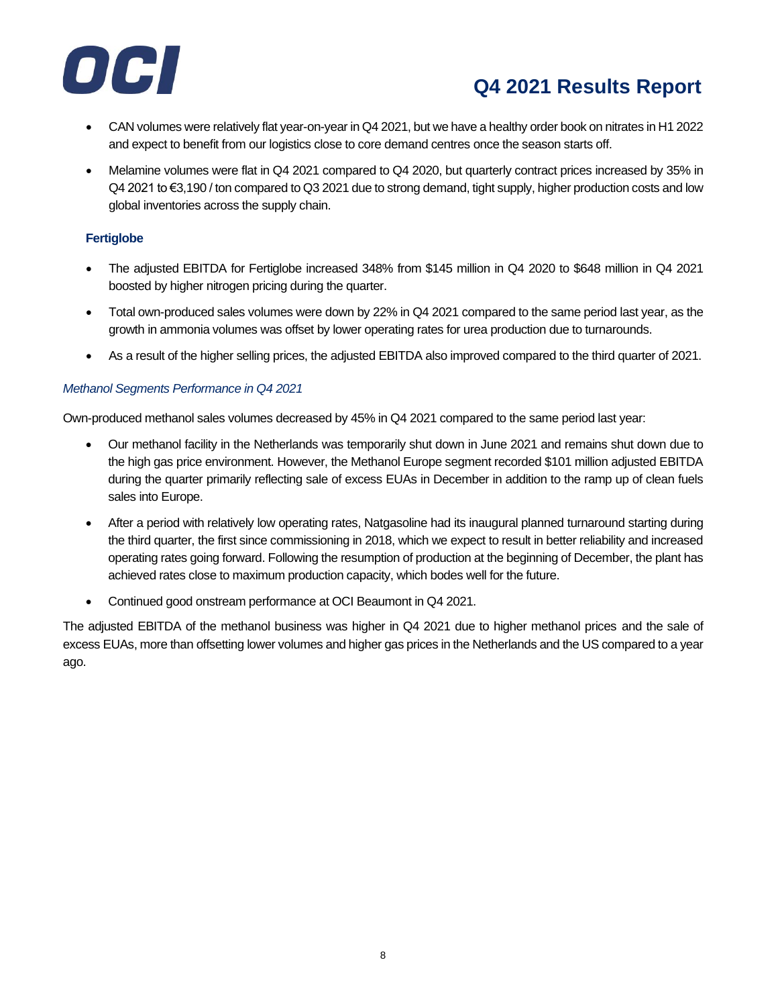

- CAN volumes were relatively flat year-on-year in Q4 2021, but we have a healthy order book on nitrates in H1 2022 and expect to benefit from our logistics close to core demand centres once the season starts off.
- Melamine volumes were flat in Q4 2021 compared to Q4 2020, but quarterly contract prices increased by 35% in Q4 2021 to €3,190 / ton compared to Q3 2021 due to strong demand, tight supply, higher production costs and low global inventories across the supply chain.

#### **Fertiglobe**

- The adjusted EBITDA for Fertiglobe increased 348% from \$145 million in Q4 2020 to \$648 million in Q4 2021 boosted by higher nitrogen pricing during the quarter.
- Total own-produced sales volumes were down by 22% in Q4 2021 compared to the same period last year, as the growth in ammonia volumes was offset by lower operating rates for urea production due to turnarounds.
- As a result of the higher selling prices, the adjusted EBITDA also improved compared to the third quarter of 2021.

#### *Methanol Segments Performance in Q4 2021*

Own-produced methanol sales volumes decreased by 45% in Q4 2021 compared to the same period last year:

- Our methanol facility in the Netherlands was temporarily shut down in June 2021 and remains shut down due to the high gas price environment. However, the Methanol Europe segment recorded \$101 million adjusted EBITDA during the quarter primarily reflecting sale of excess EUAs in December in addition to the ramp up of clean fuels sales into Europe.
- After a period with relatively low operating rates, Natgasoline had its inaugural planned turnaround starting during the third quarter, the first since commissioning in 2018, which we expect to result in better reliability and increased operating rates going forward. Following the resumption of production at the beginning of December, the plant has achieved rates close to maximum production capacity, which bodes well for the future.
- Continued good onstream performance at OCI Beaumont in Q4 2021.

The adjusted EBITDA of the methanol business was higher in Q4 2021 due to higher methanol prices and the sale of excess EUAs, more than offsetting lower volumes and higher gas prices in the Netherlands and the US compared to a year ago.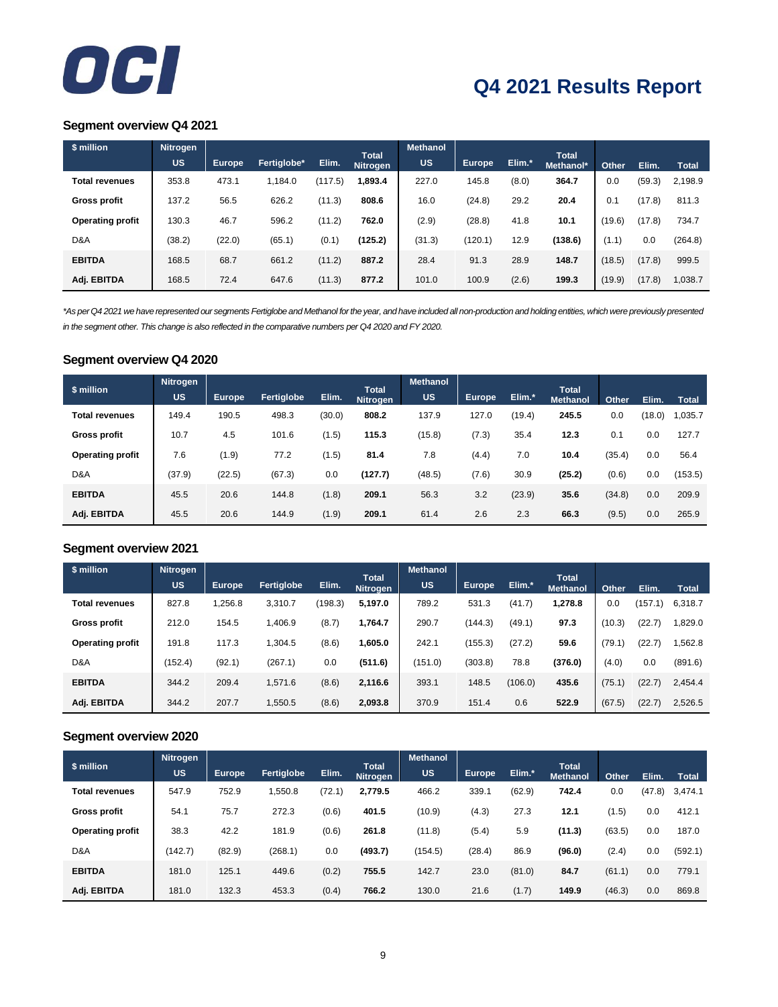

#### **Segment overview Q4 2021**

| \$ million              | Nitrogen |               |             |         |                                 | <b>Methanol</b> |               |        |                           |        |        |              |
|-------------------------|----------|---------------|-------------|---------|---------------------------------|-----------------|---------------|--------|---------------------------|--------|--------|--------------|
|                         | US       | <b>Europe</b> | Fertiglobe* | Elim.   | <b>Total</b><br><b>Nitrogen</b> | US.             | <b>Europe</b> | Elim.* | <b>Total</b><br>Methanol* | Other  | Elim.  | <b>Total</b> |
| <b>Total revenues</b>   | 353.8    | 473.1         | 1.184.0     | (117.5) | .893.4                          | 227.0           | 145.8         | (8.0)  | 364.7                     | 0.0    | (59.3) | 2,198.9      |
| <b>Gross profit</b>     | 137.2    | 56.5          | 626.2       | (11.3)  | 808.6                           | 16.0            | (24.8)        | 29.2   | 20.4                      | 0.1    | (17.8) | 811.3        |
| <b>Operating profit</b> | 130.3    | 46.7          | 596.2       | (11.2)  | 762.0                           | (2.9)           | (28.8)        | 41.8   | 10.1                      | (19.6) | (17.8) | 734.7        |
| D&A                     | (38.2)   | (22.0)        | (65.1)      | (0.1)   | (125.2)                         | (31.3)          | (120.1)       | 12.9   | (138.6)                   | (1.1)  | 0.0    | (264.8)      |
| <b>EBITDA</b>           | 168.5    | 68.7          | 661.2       | (11.2)  | 887.2                           | 28.4            | 91.3          | 28.9   | 148.7                     | (18.5) | (17.8) | 999.5        |
| Adj. EBITDA             | 168.5    | 72.4          | 647.6       | (11.3)  | 877.2                           | 101.0           | 100.9         | (2.6)  | 199.3                     | (19.9) | (17.8) | 1,038.7      |

*\*As per Q4 2021 we have represented our segments Fertiglobe and Methanol for the year, and have included all non-production and holding entities, which were previously presented in the segment other. This change is also reflected in the comparative numbers per Q4 2020 and FY 2020.*

#### **Segment overview Q4 2020**

| \$ million              | <b>Nitrogen</b> |                     |            |        |                          | <b>Methanol</b> |               |        |                                 |        |        |              |
|-------------------------|-----------------|---------------------|------------|--------|--------------------------|-----------------|---------------|--------|---------------------------------|--------|--------|--------------|
|                         | <b>US</b>       | Europe <sub>r</sub> | Fertiglobe | Elim.  | <b>Total</b><br>Nitrogen | <b>US</b>       | <b>Europe</b> | Elim.* | <b>Total</b><br><b>Methanol</b> | Other  | Elim.  | <b>Total</b> |
| <b>Total revenues</b>   | 149.4           | 190.5               | 498.3      | (30.0) | 808.2                    | 137.9           | 127.0         | (19.4) | 245.5                           | 0.0    | (18.0) | 1,035.7      |
| <b>Gross profit</b>     | 10.7            | 4.5                 | 101.6      | (1.5)  | 115.3                    | (15.8)          | (7.3)         | 35.4   | 12.3                            | 0.1    | 0.0    | 127.7        |
| <b>Operating profit</b> | 7.6             | (1.9)               | 77.2       | (1.5)  | 81.4                     | 7.8             | (4.4)         | 7.0    | 10.4                            | (35.4) | 0.0    | 56.4         |
| D&A                     | (37.9)          | (22.5)              | (67.3)     | 0.0    | (127.7)                  | (48.5)          | (7.6)         | 30.9   | (25.2)                          | (0.6)  | 0.0    | (153.5)      |
| <b>EBITDA</b>           | 45.5            | 20.6                | 144.8      | (1.8)  | 209.1                    | 56.3            | 3.2           | (23.9) | 35.6                            | (34.8) | 0.0    | 209.9        |
| Adj. EBITDA             | 45.5            | 20.6                | 144.9      | (1.9)  | 209.1                    | 61.4            | 2.6           | 2.3    | 66.3                            | (9.5)  | 0.0    | 265.9        |

#### **Segment overview 2021**

| \$ million              | Nitrogen  |               |            |         |                                 | <b>Methanol</b> |         |         |                                 |        |         |              |
|-------------------------|-----------|---------------|------------|---------|---------------------------------|-----------------|---------|---------|---------------------------------|--------|---------|--------------|
|                         | <b>US</b> | <b>Europe</b> | Fertiglobe | Elim.   | <b>Total</b><br><b>Nitrogen</b> | <b>US</b>       | Europe  | Elim.*  | <b>Total</b><br><b>Methanol</b> | Other  | Elim.   | <b>Total</b> |
| <b>Total revenues</b>   | 827.8     | 1,256.8       | 3,310.7    | (198.3) | 5,197.0                         | 789.2           | 531.3   | (41.7)  | 1,278.8                         | 0.0    | (157.1) | 6,318.7      |
| <b>Gross profit</b>     | 212.0     | 154.5         | 1,406.9    | (8.7)   | 1.764.7                         | 290.7           | (144.3) | (49.1)  | 97.3                            | (10.3) | (22.7)  | 1,829.0      |
| <b>Operating profit</b> | 191.8     | 117.3         | 1,304.5    | (8.6)   | 1,605.0                         | 242.1           | (155.3) | (27.2)  | 59.6                            | (79.1) | (22.7)  | 1,562.8      |
| D&A                     | (152.4)   | (92.1)        | (267.1)    | 0.0     | (511.6)                         | (151.0)         | (303.8) | 78.8    | (376.0)                         | (4.0)  | 0.0     | (891.6)      |
| <b>EBITDA</b>           | 344.2     | 209.4         | 1,571.6    | (8.6)   | 2,116.6                         | 393.1           | 148.5   | (106.0) | 435.6                           | (75.1) | (22.7)  | 2,454.4      |
| Adj. EBITDA             | 344.2     | 207.7         | 1,550.5    | (8.6)   | 2,093.8                         | 370.9           | 151.4   | 0.6     | 522.9                           | (67.5) | (22.7)  | 2,526.5      |

#### **Segment overview 2020**

|                         | <b>Nitrogen</b> |               |            |        |                                 | <b>Methanol</b> |        |        |                                 |        |        |              |
|-------------------------|-----------------|---------------|------------|--------|---------------------------------|-----------------|--------|--------|---------------------------------|--------|--------|--------------|
| \$ million              | <b>US</b>       | <b>Europe</b> | Fertiglobe | Elim.  | <b>Total</b><br><b>Nitrogen</b> | US              | Europe | Elim.* | <b>Total</b><br><b>Methanol</b> | Other  | Elim.  | <b>Total</b> |
| <b>Total revenues</b>   | 547.9           | 752.9         | 1,550.8    | (72.1) | 2,779.5                         | 466.2           | 339.1  | (62.9) | 742.4                           | 0.0    | (47.8) | 3,474.1      |
| <b>Gross profit</b>     | 54.1            | 75.7          | 272.3      | (0.6)  | 401.5                           | (10.9)          | (4.3)  | 27.3   | 12.1                            | (1.5)  | 0.0    | 412.1        |
| <b>Operating profit</b> | 38.3            | 42.2          | 181.9      | (0.6)  | 261.8                           | (11.8)          | (5.4)  | 5.9    | (11.3)                          | (63.5) | 0.0    | 187.0        |
| D&A                     | (142.7)         | (82.9)        | (268.1)    | 0.0    | (493.7)                         | (154.5)         | (28.4) | 86.9   | (96.0)                          | (2.4)  | 0.0    | (592.1)      |
| <b>EBITDA</b>           | 181.0           | 125.1         | 449.6      | (0.2)  | 755.5                           | 142.7           | 23.0   | (81.0) | 84.7                            | (61.1) | 0.0    | 779.1        |
| Adj. EBITDA             | 181.0           | 132.3         | 453.3      | (0.4)  | 766.2                           | 130.0           | 21.6   | (1.7)  | 149.9                           | (46.3) | 0.0    | 869.8        |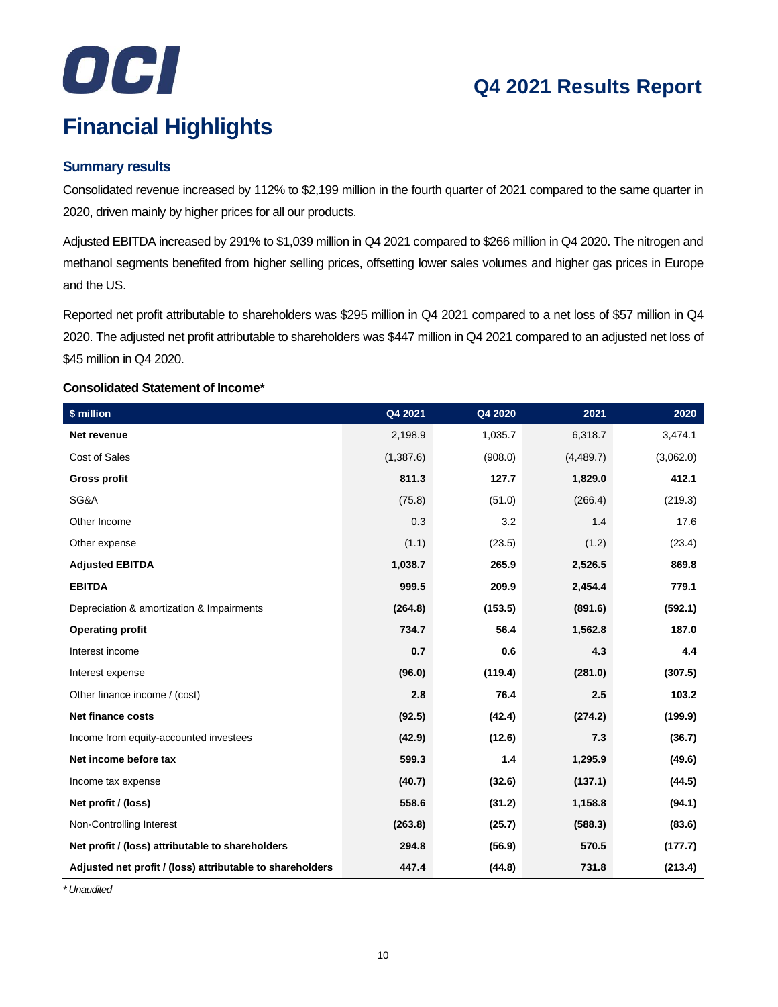# OCI **Financial Highlights**

# **Q4 2021 Results Report**

#### **Summary results**

Consolidated revenue increased by 112% to \$2,199 million in the fourth quarter of 2021 compared to the same quarter in 2020, driven mainly by higher prices for all our products.

Adjusted EBITDA increased by 291% to \$1,039 million in Q4 2021 compared to \$266 million in Q4 2020. The nitrogen and methanol segments benefited from higher selling prices, offsetting lower sales volumes and higher gas prices in Europe and the US.

Reported net profit attributable to shareholders was \$295 million in Q4 2021 compared to a net loss of \$57 million in Q4 2020. The adjusted net profit attributable to shareholders was \$447 million in Q4 2021 compared to an adjusted net loss of \$45 million in Q4 2020.

#### **Consolidated Statement of Income\***

| \$ million                                                | Q4 2021   | Q4 2020 | 2021      | 2020      |
|-----------------------------------------------------------|-----------|---------|-----------|-----------|
| Net revenue                                               | 2,198.9   | 1,035.7 | 6,318.7   | 3,474.1   |
| Cost of Sales                                             | (1,387.6) | (908.0) | (4,489.7) | (3,062.0) |
| <b>Gross profit</b>                                       | 811.3     | 127.7   | 1,829.0   | 412.1     |
| SG&A                                                      | (75.8)    | (51.0)  | (266.4)   | (219.3)   |
| Other Income                                              | 0.3       | 3.2     | 1.4       | 17.6      |
| Other expense                                             | (1.1)     | (23.5)  | (1.2)     | (23.4)    |
| <b>Adjusted EBITDA</b>                                    | 1,038.7   | 265.9   | 2,526.5   | 869.8     |
| <b>EBITDA</b>                                             | 999.5     | 209.9   | 2,454.4   | 779.1     |
| Depreciation & amortization & Impairments                 | (264.8)   | (153.5) | (891.6)   | (592.1)   |
| <b>Operating profit</b>                                   | 734.7     | 56.4    | 1,562.8   | 187.0     |
| Interest income                                           | 0.7       | 0.6     | 4.3       | 4.4       |
| Interest expense                                          | (96.0)    | (119.4) | (281.0)   | (307.5)   |
| Other finance income / (cost)                             | 2.8       | 76.4    | 2.5       | 103.2     |
| <b>Net finance costs</b>                                  | (92.5)    | (42.4)  | (274.2)   | (199.9)   |
| Income from equity-accounted investees                    | (42.9)    | (12.6)  | 7.3       | (36.7)    |
| Net income before tax                                     | 599.3     | 1.4     | 1,295.9   | (49.6)    |
| Income tax expense                                        | (40.7)    | (32.6)  | (137.1)   | (44.5)    |
| Net profit / (loss)                                       | 558.6     | (31.2)  | 1,158.8   | (94.1)    |
| Non-Controlling Interest                                  | (263.8)   | (25.7)  | (588.3)   | (83.6)    |
| Net profit / (loss) attributable to shareholders          | 294.8     | (56.9)  | 570.5     | (177.7)   |
| Adjusted net profit / (loss) attributable to shareholders | 447.4     | (44.8)  | 731.8     | (213.4)   |

*\* Unaudited*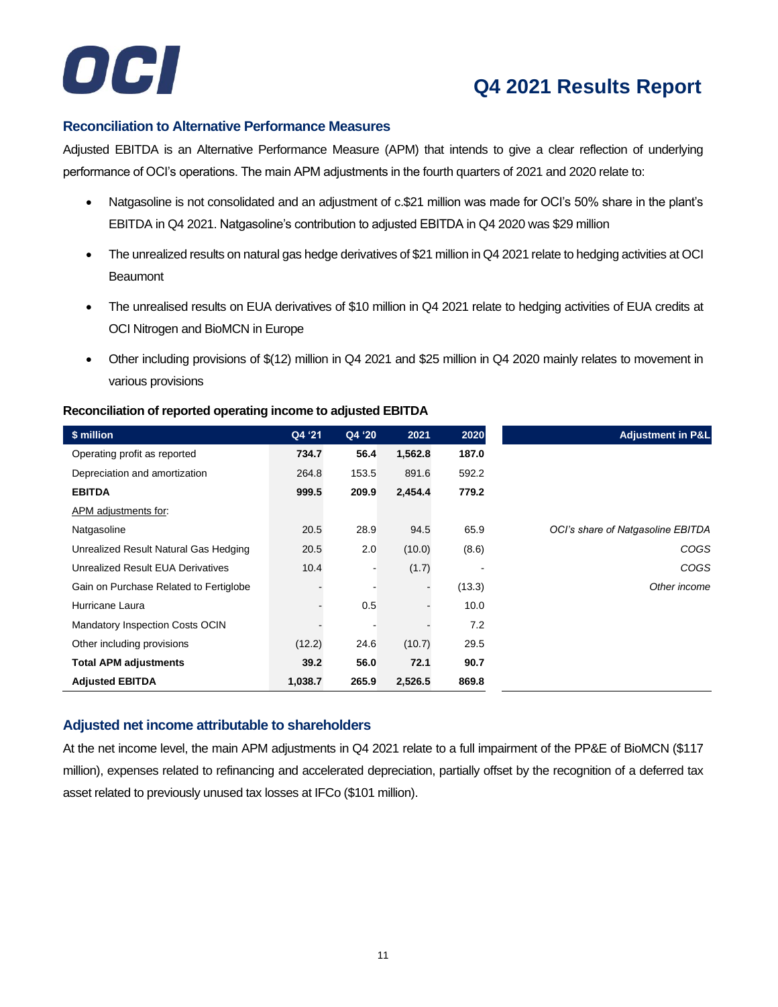

#### **Reconciliation to Alternative Performance Measures**

Adjusted EBITDA is an Alternative Performance Measure (APM) that intends to give a clear reflection of underlying performance of OCI's operations. The main APM adjustments in the fourth quarters of 2021 and 2020 relate to:

- Natgasoline is not consolidated and an adjustment of c.\$21 million was made for OCI's 50% share in the plant's EBITDA in Q4 2021. Natgasoline's contribution to adjusted EBITDA in Q4 2020 was \$29 million
- The unrealized results on natural gas hedge derivatives of \$21 million in Q4 2021 relate to hedging activities at OCI **Beaumont**
- The unrealised results on EUA derivatives of \$10 million in Q4 2021 relate to hedging activities of EUA credits at OCI Nitrogen and BioMCN in Europe
- Other including provisions of \$(12) million in Q4 2021 and \$25 million in Q4 2020 mainly relates to movement in various provisions

#### **Reconciliation of reported operating income to adjusted EBITDA**

| \$ million                             | Q4 '21  | Q4 '20 | 2021    | 2020   | <b>Adjustment in P&amp;L</b>      |
|----------------------------------------|---------|--------|---------|--------|-----------------------------------|
| Operating profit as reported           | 734.7   | 56.4   | 1,562.8 | 187.0  |                                   |
| Depreciation and amortization          | 264.8   | 153.5  | 891.6   | 592.2  |                                   |
| <b>EBITDA</b>                          | 999.5   | 209.9  | 2,454.4 | 779.2  |                                   |
| APM adjustments for:                   |         |        |         |        |                                   |
| Natgasoline                            | 20.5    | 28.9   | 94.5    | 65.9   | OCI's share of Natgasoline EBITDA |
| Unrealized Result Natural Gas Hedging  | 20.5    | 2.0    | (10.0)  | (8.6)  | <b>COGS</b>                       |
| Unrealized Result EUA Derivatives      | 10.4    |        | (1.7)   |        | COGS                              |
| Gain on Purchase Related to Fertiglobe |         |        |         | (13.3) | Other income                      |
| Hurricane Laura                        |         | 0.5    |         | 10.0   |                                   |
| Mandatory Inspection Costs OCIN        |         |        |         | 7.2    |                                   |
| Other including provisions             | (12.2)  | 24.6   | (10.7)  | 29.5   |                                   |
| <b>Total APM adjustments</b>           | 39.2    | 56.0   | 72.1    | 90.7   |                                   |
| <b>Adjusted EBITDA</b>                 | 1,038.7 | 265.9  | 2,526.5 | 869.8  |                                   |

#### **Adjusted net income attributable to shareholders**

At the net income level, the main APM adjustments in Q4 2021 relate to a full impairment of the PP&E of BioMCN (\$117 million), expenses related to refinancing and accelerated depreciation, partially offset by the recognition of a deferred tax asset related to previously unused tax losses at IFCo (\$101 million).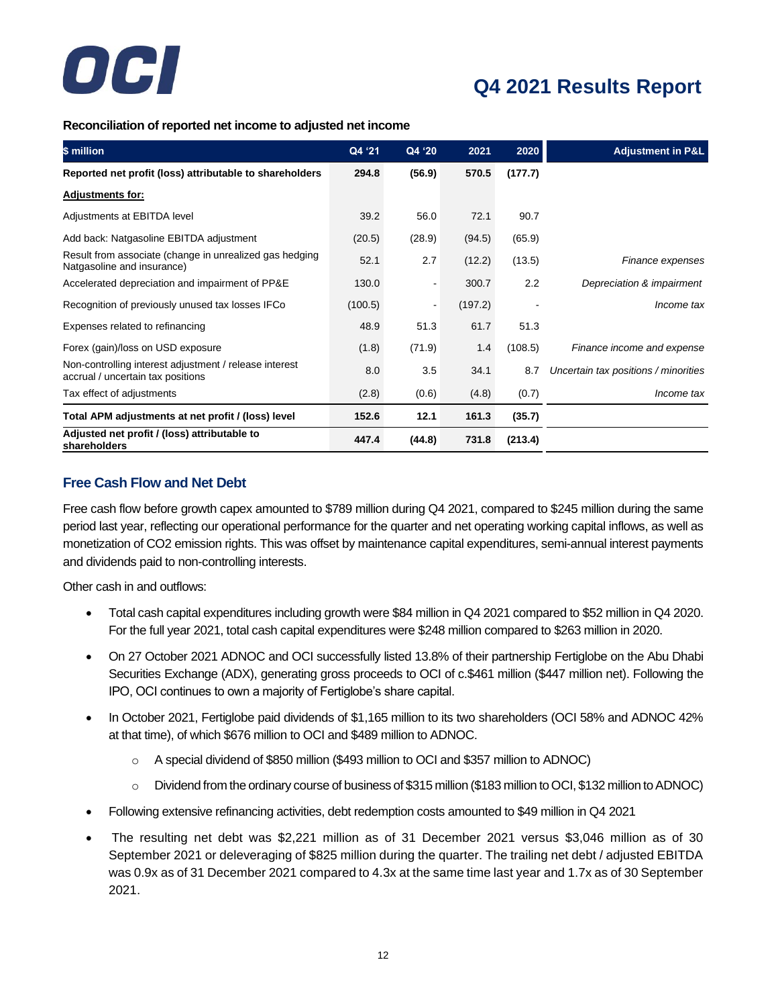

**Reconciliation of reported net income to adjusted net income**

| \$ million                                                                                  | Q4 '21  | Q4 '20                   | 2021    | 2020    | <b>Adjustment in P&amp;L</b>         |
|---------------------------------------------------------------------------------------------|---------|--------------------------|---------|---------|--------------------------------------|
| Reported net profit (loss) attributable to shareholders                                     | 294.8   | (56.9)                   | 570.5   | (177.7) |                                      |
| <b>Adjustments for:</b>                                                                     |         |                          |         |         |                                      |
| Adjustments at EBITDA level                                                                 | 39.2    | 56.0                     | 72.1    | 90.7    |                                      |
| Add back: Natgasoline EBITDA adjustment                                                     | (20.5)  | (28.9)                   | (94.5)  | (65.9)  |                                      |
| Result from associate (change in unrealized gas hedging<br>Natgasoline and insurance)       | 52.1    | 2.7                      | (12.2)  | (13.5)  | Finance expenses                     |
| Accelerated depreciation and impairment of PP&E                                             | 130.0   | $\overline{\phantom{a}}$ | 300.7   | 2.2     | Depreciation & impairment            |
| Recognition of previously unused tax losses IFCo                                            | (100.5) | $\blacksquare$           | (197.2) |         | Income tax                           |
| Expenses related to refinancing                                                             | 48.9    | 51.3                     | 61.7    | 51.3    |                                      |
| Forex (gain)/loss on USD exposure                                                           | (1.8)   | (71.9)                   | 1.4     | (108.5) | Finance income and expense           |
| Non-controlling interest adjustment / release interest<br>accrual / uncertain tax positions | 8.0     | 3.5                      | 34.1    | 8.7     | Uncertain tax positions / minorities |
| Tax effect of adjustments                                                                   | (2.8)   | (0.6)                    | (4.8)   | (0.7)   | Income tax                           |
| Total APM adjustments at net profit / (loss) level                                          | 152.6   | 12.1                     | 161.3   | (35.7)  |                                      |
| Adjusted net profit / (loss) attributable to<br>shareholders                                | 447.4   | (44.8)                   | 731.8   | (213.4) |                                      |

#### **Free Cash Flow and Net Debt**

Free cash flow before growth capex amounted to \$789 million during Q4 2021, compared to \$245 million during the same period last year, reflecting our operational performance for the quarter and net operating working capital inflows, as well as monetization of CO2 emission rights. This was offset by maintenance capital expenditures, semi-annual interest payments and dividends paid to non-controlling interests.

Other cash in and outflows:

- Total cash capital expenditures including growth were \$84 million in Q4 2021 compared to \$52 million in Q4 2020. For the full year 2021, total cash capital expenditures were \$248 million compared to \$263 million in 2020.
- On 27 October 2021 ADNOC and OCI successfully listed 13.8% of their partnership Fertiglobe on the Abu Dhabi Securities Exchange (ADX), generating gross proceeds to OCI of c.\$461 million (\$447 million net). Following the IPO, OCI continues to own a majority of Fertiglobe's share capital.
- In October 2021, Fertiglobe paid dividends of \$1,165 million to its two shareholders (OCI 58% and ADNOC 42% at that time), of which \$676 million to OCI and \$489 million to ADNOC.
	- o A special dividend of \$850 million (\$493 million to OCI and \$357 million to ADNOC)
	- o Dividend from the ordinary course of business of \$315 million (\$183 million to OCI, \$132 million to ADNOC)
- Following extensive refinancing activities, debt redemption costs amounted to \$49 million in Q4 2021
- The resulting net debt was \$2,221 million as of 31 December 2021 versus \$3,046 million as of 30 September 2021 or deleveraging of \$825 million during the quarter. The trailing net debt / adjusted EBITDA was 0.9x as of 31 December 2021 compared to 4.3x at the same time last year and 1.7x as of 30 September 2021.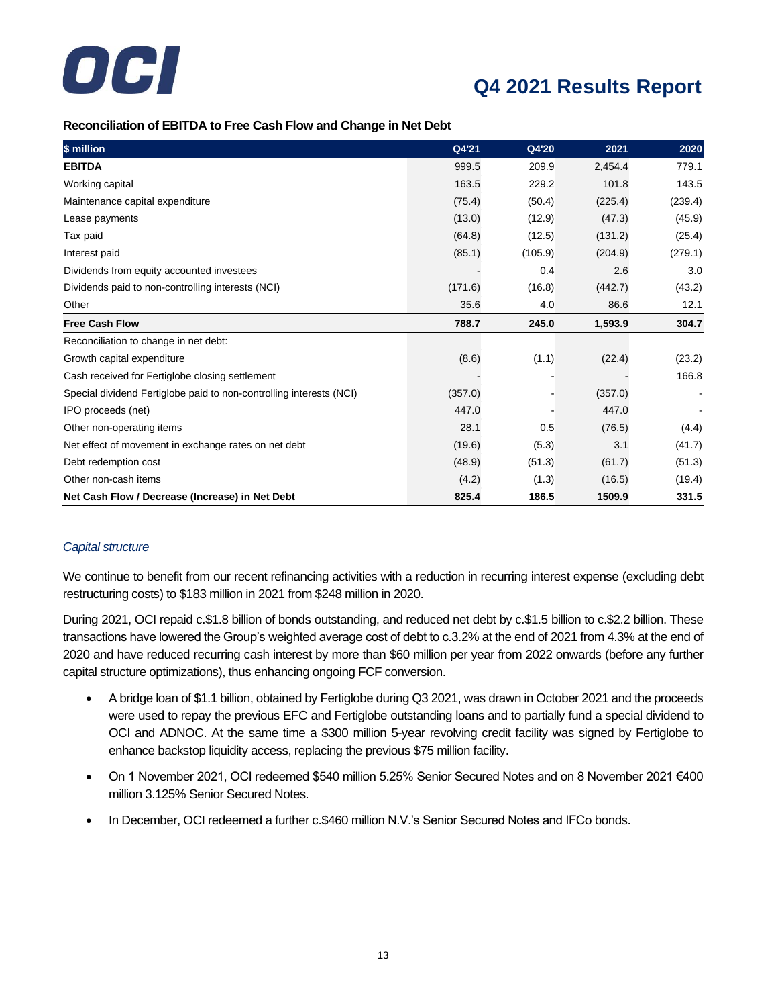

#### **Reconciliation of EBITDA to Free Cash Flow and Change in Net Debt**

| \$ million                                                          | Q4'21   | Q4'20   | 2021    | 2020    |
|---------------------------------------------------------------------|---------|---------|---------|---------|
| <b>EBITDA</b>                                                       | 999.5   | 209.9   | 2,454.4 | 779.1   |
| Working capital                                                     | 163.5   | 229.2   | 101.8   | 143.5   |
| Maintenance capital expenditure                                     | (75.4)  | (50.4)  | (225.4) | (239.4) |
| Lease payments                                                      | (13.0)  | (12.9)  | (47.3)  | (45.9)  |
| Tax paid                                                            | (64.8)  | (12.5)  | (131.2) | (25.4)  |
| Interest paid                                                       | (85.1)  | (105.9) | (204.9) | (279.1) |
| Dividends from equity accounted investees                           |         | 0.4     | 2.6     | 3.0     |
| Dividends paid to non-controlling interests (NCI)                   | (171.6) | (16.8)  | (442.7) | (43.2)  |
| Other                                                               | 35.6    | 4.0     | 86.6    | 12.1    |
| <b>Free Cash Flow</b>                                               | 788.7   | 245.0   | 1,593.9 | 304.7   |
| Reconciliation to change in net debt:                               |         |         |         |         |
| Growth capital expenditure                                          | (8.6)   | (1.1)   | (22.4)  | (23.2)  |
| Cash received for Fertiglobe closing settlement                     |         |         |         | 166.8   |
| Special dividend Fertiglobe paid to non-controlling interests (NCI) | (357.0) |         | (357.0) |         |
| IPO proceeds (net)                                                  | 447.0   |         | 447.0   |         |
| Other non-operating items                                           | 28.1    | 0.5     | (76.5)  | (4.4)   |
| Net effect of movement in exchange rates on net debt                | (19.6)  | (5.3)   | 3.1     | (41.7)  |
| Debt redemption cost                                                | (48.9)  | (51.3)  | (61.7)  | (51.3)  |
| Other non-cash items                                                | (4.2)   | (1.3)   | (16.5)  | (19.4)  |
| Net Cash Flow / Decrease (Increase) in Net Debt                     | 825.4   | 186.5   | 1509.9  | 331.5   |

#### *Capital structure*

We continue to benefit from our recent refinancing activities with a reduction in recurring interest expense (excluding debt restructuring costs) to \$183 million in 2021 from \$248 million in 2020.

During 2021, OCI repaid c.\$1.8 billion of bonds outstanding, and reduced net debt by c.\$1.5 billion to c.\$2.2 billion. These transactions have lowered the Group's weighted average cost of debt to c.3.2% at the end of 2021 from 4.3% at the end of 2020 and have reduced recurring cash interest by more than \$60 million per year from 2022 onwards (before any further capital structure optimizations), thus enhancing ongoing FCF conversion.

- A bridge loan of \$1.1 billion, obtained by Fertiglobe during Q3 2021, was drawn in October 2021 and the proceeds were used to repay the previous EFC and Fertiglobe outstanding loans and to partially fund a special dividend to OCI and ADNOC. At the same time a \$300 million 5-year revolving credit facility was signed by Fertiglobe to enhance backstop liquidity access, replacing the previous \$75 million facility.
- On 1 November 2021, OCI redeemed \$540 million 5.25% Senior Secured Notes and on 8 November 2021 €400 million 3.125% Senior Secured Notes.
- In December, OCI redeemed a further c.\$460 million N.V.'s Senior Secured Notes and IFCo bonds.